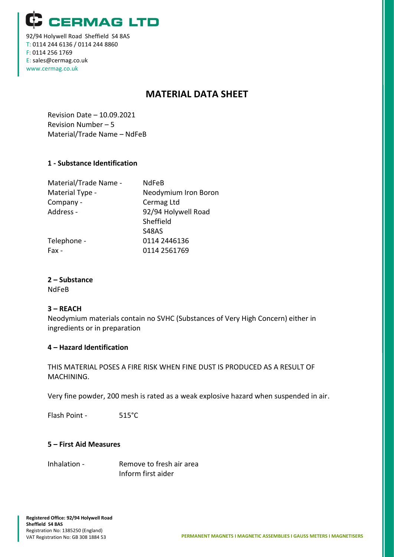**CERMAG LTD** 

92/94 Holywell Road Sheffield S4 8AS T: 0114 244 6136 / 0114 244 8860 F: 0114 256 1769 E: sales@cermag.co.uk www.cermag.co.uk

# **MATERIAL DATA SHEET**

Revision Date – 10.09.2021 Revision Number – 5 Material/Trade Name – NdFeB

## **1 - Substance Identification**

| Material/Trade Name - | <b>NdFeB</b>         |
|-----------------------|----------------------|
| Material Type -       | Neodymium Iron Boron |
| Company -             | Cermag Ltd           |
| Address -             | 92/94 Holywell Road  |
|                       | Sheffield            |
|                       | S48AS                |
| Telephone -           | 0114 2446136         |
| Fax -                 | 0114 2561769         |
|                       |                      |

## **2 – Substance**

NdFeB

#### **3 – REACH**

Neodymium materials contain no SVHC (Substances of Very High Concern) either in ingredients or in preparation

#### **4 – Hazard Identification**

THIS MATERIAL POSES A FIRE RISK WHEN FINE DUST IS PRODUCED AS A RESULT OF MACHINING.

Very fine powder, 200 mesh is rated as a weak explosive hazard when suspended in air.

Flash Point - 515°C

#### **5 – First Aid Measures**

Inhalation - Remove to fresh air area Inform first aider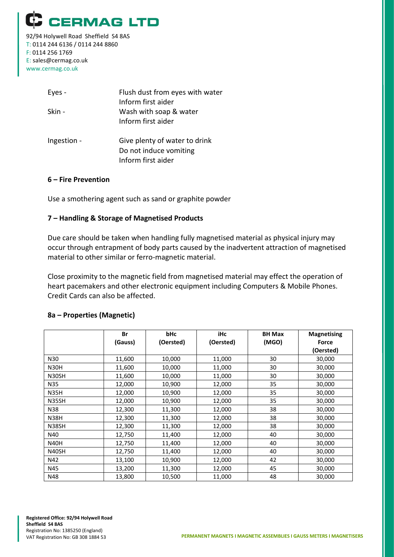

92/94 Holywell Road Sheffield S4 8AS T: 0114 244 6136 / 0114 244 8860 F: 0114 256 1769 E: sales@cermag.co.uk www.cermag.co.uk

| Eyes -      | Flush dust from eyes with water<br>Inform first aider                         |
|-------------|-------------------------------------------------------------------------------|
| Skin -      | Wash with soap & water<br>Inform first aider                                  |
| Ingestion - | Give plenty of water to drink<br>Do not induce vomiting<br>Inform first aider |

#### **6 – Fire Prevention**

Use a smothering agent such as sand or graphite powder

#### **7 – Handling & Storage of Magnetised Products**

Due care should be taken when handling fully magnetised material as physical injury may occur through entrapment of body parts caused by the inadvertent attraction of magnetised material to other similar or ferro-magnetic material.

Close proximity to the magnetic field from magnetised material may effect the operation of heart pacemakers and other electronic equipment including Computers & Mobile Phones. Credit Cards can also be affected.

|             | Br      | <b>bHc</b> | iHc       | <b>BH Max</b> | <b>Magnetising</b> |
|-------------|---------|------------|-----------|---------------|--------------------|
|             | (Gauss) | (Oersted)  | (Oersted) | (MGO)         | Force              |
|             |         |            |           |               | (Oersted)          |
| N30         | 11,600  | 10,000     | 11,000    | 30            | 30,000             |
| <b>N30H</b> | 11,600  | 10,000     | 11,000    | 30            | 30,000             |
| N30SH       | 11,600  | 10,000     | 11,000    | 30            | 30,000             |
| N35         | 12,000  | 10,900     | 12,000    | 35            | 30,000             |
| <b>N35H</b> | 12,000  | 10,900     | 12,000    | 35            | 30,000             |
| N35SH       | 12,000  | 10,900     | 12,000    | 35            | 30,000             |
| N38         | 12,300  | 11,300     | 12,000    | 38            | 30,000             |
| <b>N38H</b> | 12,300  | 11,300     | 12,000    | 38            | 30,000             |
| N38SH       | 12,300  | 11,300     | 12,000    | 38            | 30,000             |
| N40         | 12,750  | 11,400     | 12,000    | 40            | 30,000             |
| <b>N40H</b> | 12,750  | 11,400     | 12,000    | 40            | 30,000             |
| N40SH       | 12,750  | 11,400     | 12,000    | 40            | 30,000             |
| N42         | 13,100  | 10,900     | 12,000    | 42            | 30,000             |
| N45         | 13,200  | 11,300     | 12,000    | 45            | 30,000             |
| N48         | 13,800  | 10,500     | 11,000    | 48            | 30,000             |

#### **8a – Properties (Magnetic)**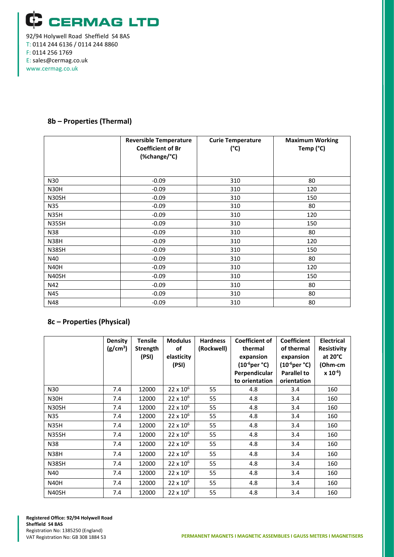

T: 0114 244 6136 / 0114 244 8860 F: 0114 256 1769 E: sales@cermag.co.uk www.cermag.co.uk

#### **8b – Properties (Thermal)**

|             | <b>Reversible Temperature</b><br><b>Coefficient of Br</b><br>(%change/°C) | <b>Curie Temperature</b><br>$(^{\circ}C)$ | <b>Maximum Working</b><br>Temp (°C) |
|-------------|---------------------------------------------------------------------------|-------------------------------------------|-------------------------------------|
| N30         | $-0.09$                                                                   | 310                                       | 80                                  |
| <b>N30H</b> | $-0.09$                                                                   | 310                                       | 120                                 |
| N30SH       | $-0.09$                                                                   | 310                                       | 150                                 |
| N35         | $-0.09$                                                                   | 310                                       | 80                                  |
| <b>N35H</b> | $-0.09$                                                                   | 310                                       | 120                                 |
| N35SH       | $-0.09$                                                                   | 310                                       | 150                                 |
| N38         | $-0.09$                                                                   | 310                                       | 80                                  |
| <b>N38H</b> | $-0.09$                                                                   | 310                                       | 120                                 |
| N38SH       | $-0.09$                                                                   | 310                                       | 150                                 |
| N40         | $-0.09$                                                                   | 310                                       | 80                                  |
| <b>N40H</b> | $-0.09$                                                                   | 310                                       | 120                                 |
| N40SH       | $-0.09$                                                                   | 310                                       | 150                                 |
| N42         | $-0.09$                                                                   | 310                                       | 80                                  |
| N45         | $-0.09$                                                                   | 310                                       | 80                                  |
| N48         | $-0.09$                                                                   | 310                                       | 80                                  |

## **8c – Properties (Physical)**

|             | <b>Density</b><br>(g/cm <sup>3</sup> ) | <b>Tensile</b><br>Strength<br>(PSI) | <b>Modulus</b><br>of<br>elasticity<br>(PSI) | <b>Hardness</b><br>(Rockwell) | <b>Coefficient of</b><br>thermal<br>expansion<br>(10 <sup>-6</sup> per °C)<br>Perpendicular<br>to orientation | <b>Coefficient</b><br>of thermal<br>expansion<br>$(10^{-6} \text{per }^{\circ}\text{C})$<br><b>Parallel to</b><br>orientation | <b>Electrical</b><br><b>Resistivity</b><br>at $20^{\circ}$ C<br>(Ohm-cm<br>$x 10^{-6}$ |
|-------------|----------------------------------------|-------------------------------------|---------------------------------------------|-------------------------------|---------------------------------------------------------------------------------------------------------------|-------------------------------------------------------------------------------------------------------------------------------|----------------------------------------------------------------------------------------|
| N30         | 7.4                                    | 12000                               | $22 \times 10^6$                            | 55                            | 4.8                                                                                                           | 3.4                                                                                                                           | 160                                                                                    |
| N30H        | 7.4                                    | 12000                               | $22 \times 10^6$                            | 55                            | 4.8                                                                                                           | 3.4                                                                                                                           | 160                                                                                    |
| N30SH       | 7.4                                    | 12000                               | $22 \times 10^{6}$                          | 55                            | 4.8                                                                                                           | 3.4                                                                                                                           | 160                                                                                    |
| N35         | 7.4                                    | 12000                               | $22 \times 10^6$                            | 55                            | 4.8                                                                                                           | 3.4                                                                                                                           | 160                                                                                    |
| <b>N35H</b> | 7.4                                    | 12000                               | 22 x 10 <sup>6</sup>                        | 55                            | 4.8                                                                                                           | 3.4                                                                                                                           | 160                                                                                    |
| N35SH       | 7.4                                    | 12000                               | 22 x 10 <sup>6</sup>                        | 55                            | 4.8                                                                                                           | 3.4                                                                                                                           | 160                                                                                    |
| N38         | 7.4                                    | 12000                               | $22 \times 10^{6}$                          | 55                            | 4.8                                                                                                           | 3.4                                                                                                                           | 160                                                                                    |
| <b>N38H</b> | 7.4                                    | 12000                               | $22 \times 10^{6}$                          | 55                            | 4.8                                                                                                           | 3.4                                                                                                                           | 160                                                                                    |
| N38SH       | 7.4                                    | 12000                               | $22 \times 10^6$                            | 55                            | 4.8                                                                                                           | 3.4                                                                                                                           | 160                                                                                    |
| N40         | 7.4                                    | 12000                               | $22 \times 10^6$                            | 55                            | 4.8                                                                                                           | 3.4                                                                                                                           | 160                                                                                    |
| <b>N40H</b> | 7.4                                    | 12000                               | $22 \times 10^6$                            | 55                            | 4.8                                                                                                           | 3.4                                                                                                                           | 160                                                                                    |
| N40SH       | 7.4                                    | 12000                               | $22 \times 10^6$                            | 55                            | 4.8                                                                                                           | 3.4                                                                                                                           | 160                                                                                    |